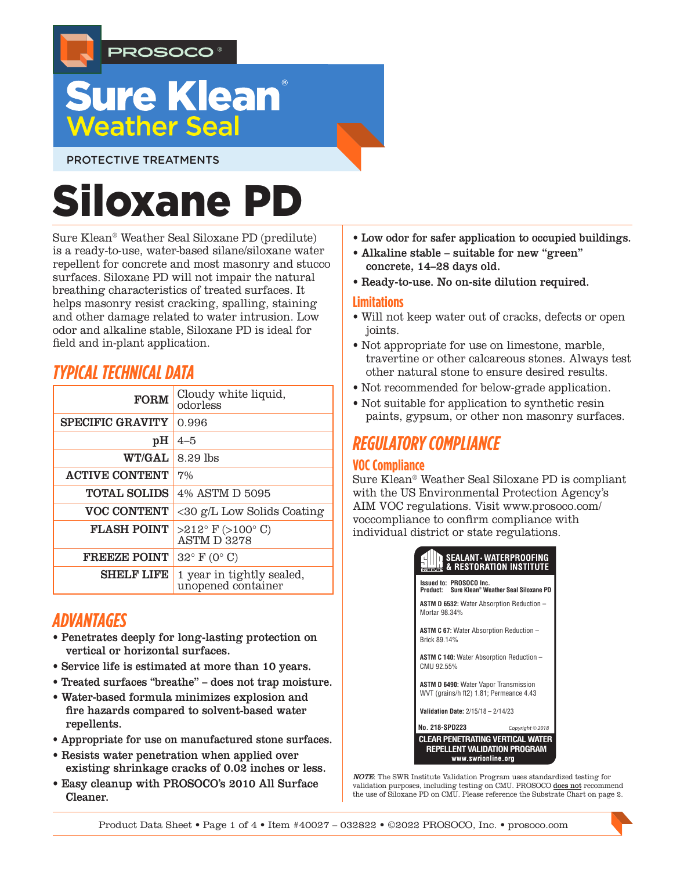

# **Sure Klean Weather Seal**

PROTECTIVE TREATMENTS

# Siloxane PD

Sure Klean® Weather Seal Siloxane PD (predilute) is a ready-to-use, water-based silane/siloxane water repellent for concrete and most masonry and stucco surfaces. Siloxane PD will not impair the natural breathing characteristics of treated surfaces. It helps masonry resist cracking, spalling, staining and other damage related to water intrusion. Low odor and alkaline stable, Siloxane PD is ideal for field and in-plant application.

# *TYPICAL TECHNICAL DATA*

| <b>FORM</b>             | Cloudy white liquid,<br>odorless                    |  |  |
|-------------------------|-----------------------------------------------------|--|--|
| <b>SPECIFIC GRAVITY</b> | 0.996                                               |  |  |
| pH                      | $4 - 5$                                             |  |  |
| <b>WT/GAL</b>           | 8.29 lbs                                            |  |  |
| <b>ACTIVE CONTENT</b>   | 7%                                                  |  |  |
| <b>TOTAL SOLIDS</b>     | 4% ASTM D 5095                                      |  |  |
| <b>VOC CONTENT</b>      | $\langle 30 \rangle$ g/L Low Solids Coating         |  |  |
| <b>FLASH POINT</b>      | $>212^{\circ}$ F ( $>100^{\circ}$ C)<br>ASTM D 3278 |  |  |
| <b>FREEZE POINT</b>     | $32^{\circ}$ F (0° C)                               |  |  |
| <b>SHELF LIFE</b>       | 1 year in tightly sealed,<br>unopened container     |  |  |

# *ADVANTAGES*

- Penetrates deeply for long-lasting protection on vertical or horizontal surfaces.
- Service life is estimated at more than 10 years.
- Treated surfaces "breathe" does not trap moisture.
- Water-based formula minimizes explosion and fire hazards compared to solvent-based water repellents.
- Appropriate for use on manufactured stone surfaces.
- Resists water penetration when applied over existing shrinkage cracks of 0.02 inches or less.
- Easy cleanup with PROSOCO's 2010 All Surface Cleaner.
- Low odor for safer application to occupied buildings.
- Alkaline stable suitable for new "green" concrete, 14–28 days old.
- Ready-to-use. No on-site dilution required.

#### **Limitations**

- Will not keep water out of cracks, defects or open joints.
- Not appropriate for use on limestone, marble, travertine or other calcareous stones. Always test other natural stone to ensure desired results.
- Not recommended for below-grade application.
- Not suitable for application to synthetic resin paints, gypsum, or other non masonry surfaces.

# *REGULATORY COMPLIANCE*

# **VOC Compliance**

Sure Klean® Weather Seal Siloxane PD is compliant with the US Environmental Protection Agency's AIM VOC regulations. Visit www.prosoco.com/ voccompliance to confirm compliance with individual district or state regulations.



NOTE: The SWR Institute Validation Program uses standardized testing for validation purposes, including testing on CMU. PROSOCO  $\operatorname{\underline{does not}}$  recommend the use of Siloxane PD on CMU. Please reference the Substrate Chart on page 2.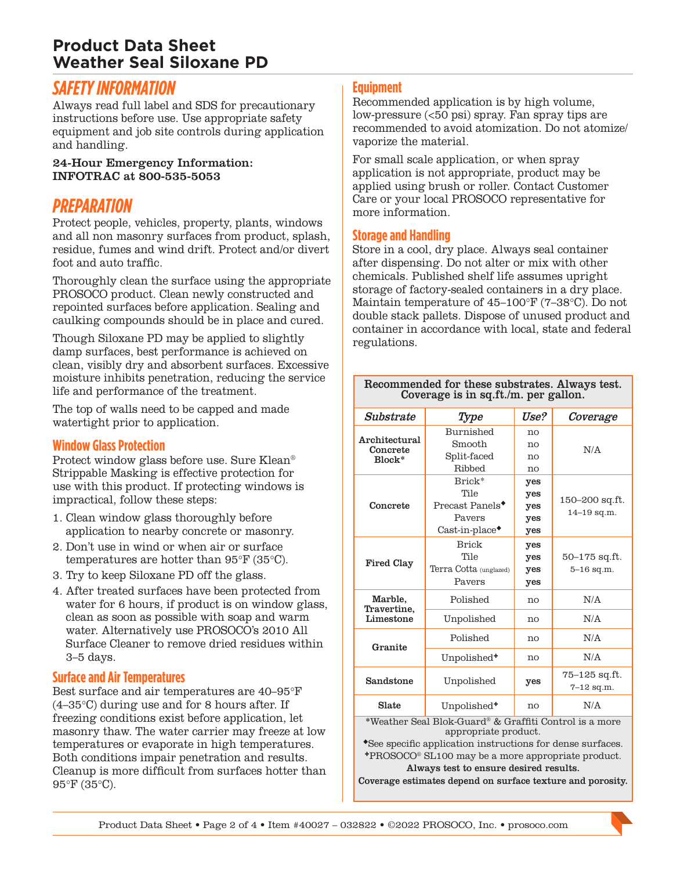# **Product Data Sheet Weather Seal Siloxane PD**

# *SAFETY INFORMATION*

Always read full label and SDS for precautionary instructions before use. Use appropriate safety equipment and job site controls during application and handling.

#### 24-Hour Emergency Information: INFOTRAC at 800-535-5053

# *PREPARATION*

Protect people, vehicles, property, plants, windows and all non masonry surfaces from product, splash, residue, fumes and wind drift. Protect and/or divert foot and auto traffic.

Thoroughly clean the surface using the appropriate PROSOCO product. Clean newly constructed and repointed surfaces before application. Sealing and caulking compounds should be in place and cured.

Though Siloxane PD may be applied to slightly damp surfaces, best performance is achieved on clean, visibly dry and absorbent surfaces. Excessive moisture inhibits penetration, reducing the service life and performance of the treatment.

The top of walls need to be capped and made watertight prior to application.

# **Window Glass Protection**

Protect window glass before use. Sure Klean® Strippable Masking is effective protection for use with this product. If protecting windows is impractical, follow these steps:

- 1. Clean window glass thoroughly before application to nearby concrete or masonry.
- 2. Don't use in wind or when air or surface temperatures are hotter than 95°F (35°C).
- 3. Try to keep Siloxane PD off the glass.
- 4. After treated surfaces have been protected from water for 6 hours, if product is on window glass, clean as soon as possible with soap and warm water. Alternatively use PROSOCO's 2010 All Surface Cleaner to remove dried residues within 3–5 days.

# **Surface and Air Temperatures**

Best surface and air temperatures are 40–95°F (4–35°C) during use and for 8 hours after. If freezing conditions exist before application, let masonry thaw. The water carrier may freeze at low temperatures or evaporate in high temperatures. Both conditions impair penetration and results. Cleanup is more difficult from surfaces hotter than 95°F (35°C).

#### **Equipment**

Recommended application is by high volume, low-pressure (<50 psi) spray. Fan spray tips are recommended to avoid atomization. Do not atomize/ vaporize the material.

For small scale application, or when spray application is not appropriate, product may be applied using brush or roller. Contact Customer Care or your local PROSOCO representative for more information.

#### **Storage and Handling**

Store in a cool, dry place. Always seal container after dispensing. Do not alter or mix with other chemicals. Published shelf life assumes upright storage of factory-sealed containers in a dry place. Maintain temperature of 45–100°F (7–38°C). Do not double stack pallets. Dispose of unused product and container in accordance with local, state and federal regulations.

Recommended for these substrates. Always test.

| Coverage is in sq.ft./m. per gallon. |                                                                                |                                 |                                     |  |
|--------------------------------------|--------------------------------------------------------------------------------|---------------------------------|-------------------------------------|--|
| Substrate                            | Type                                                                           | Use?                            | Coverage                            |  |
| Architectural<br>Concrete<br>Block*  | Burnished<br>Smooth                                                            | no<br>no                        |                                     |  |
|                                      | Split-faced<br>Ribbed                                                          | no<br>no                        | N/A                                 |  |
| Concrete                             | Brick*<br>Tile<br>Precast Panels <sup>*</sup><br>Pavers<br>$Cast-in-place$     | yes<br>yes<br>yes<br>yes<br>yes | 150-200 sq.ft.<br>$14 - 19$ sq.m.   |  |
| <b>Fired Clay</b>                    | <b>Brick</b><br>Tile<br>Terra Cotta (unglazed)<br>Pavers                       | yes<br>yes<br>yes<br>yes        | 50–175 sq.ft.<br>$5 - 16$ sq.m.     |  |
| Marble,<br>Travertine.<br>Limestone  | Polished                                                                       | no                              | N/A                                 |  |
|                                      | Unpolished                                                                     | no                              | N/A                                 |  |
| Granite                              | Polished                                                                       | no                              | N/A                                 |  |
|                                      | Unpolished <sup>+</sup>                                                        | no                              | N/A                                 |  |
| Sandstone                            | Unpolished                                                                     | yes                             | $75 - 125$ sq.ft.<br>$7 - 12$ sq.m. |  |
| Slate                                | Unpolished <sup>+</sup>                                                        | no                              | N/A                                 |  |
|                                      | *Weather Seal Blok-Guard® & Graffiti Control is a more<br>appropriate product. |                                 |                                     |  |

See specific application instructions for dense surfaces. PROSOCO® SL100 may be a more appropriate product. Always test to ensure desired results.

Coverage estimates depend on surface texture and porosity.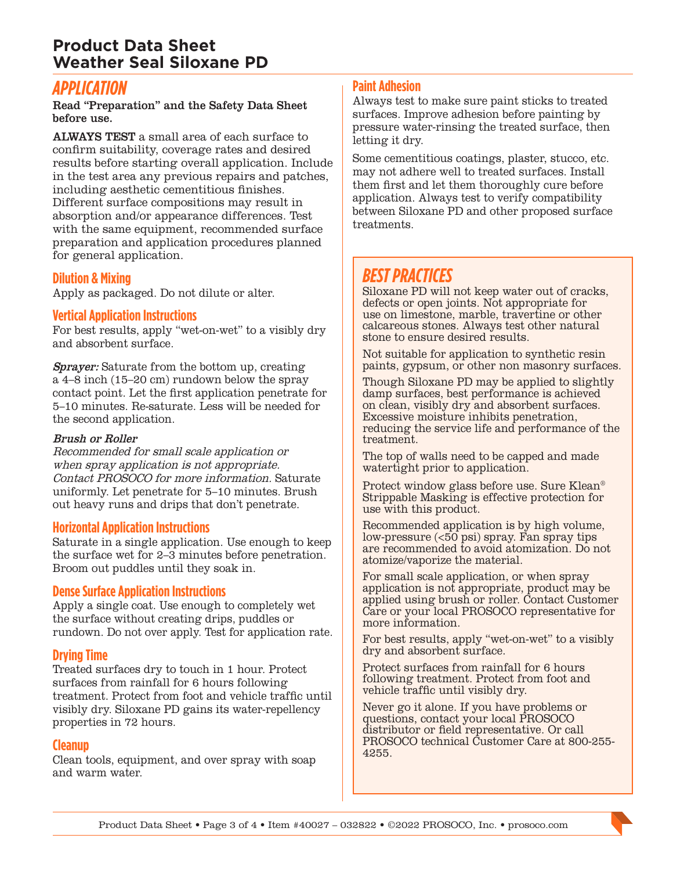# **Product Data Sheet Weather Seal Siloxane PD**

# *APPLICATION*

Read "Preparation" and the Safety Data Sheet before use.

ALWAYS TEST a small area of each surface to confirm suitability, coverage rates and desired results before starting overall application. Include in the test area any previous repairs and patches, including aesthetic cementitious finishes. Different surface compositions may result in absorption and/or appearance differences. Test with the same equipment, recommended surface preparation and application procedures planned for general application.

#### **Dilution & Mixing**

Apply as packaged. Do not dilute or alter.

#### **Vertical Application Instructions**

For best results, apply "wet-on-wet" to a visibly dry and absorbent surface.

Sprayer: Saturate from the bottom up, creating a 4–8 inch (15–20 cm) rundown below the spray contact point. Let the first application penetrate for 5–10 minutes. Re-saturate. Less will be needed for the second application.

#### Brush or Roller

Recommended for small scale application or when spray application is not appropriate. Contact PROSOCO for more information. Saturate uniformly. Let penetrate for 5–10 minutes. Brush out heavy runs and drips that don't penetrate.

#### **Horizontal Application Instructions**

Saturate in a single application. Use enough to keep the surface wet for 2–3 minutes before penetration. Broom out puddles until they soak in.

#### **Dense Surface Application Instructions**

Apply a single coat. Use enough to completely wet the surface without creating drips, puddles or rundown. Do not over apply. Test for application rate.

#### **Drying Time**

Treated surfaces dry to touch in 1 hour. Protect surfaces from rainfall for 6 hours following treatment. Protect from foot and vehicle traffic until visibly dry. Siloxane PD gains its water-repellency properties in 72 hours.

#### **Cleanup**

Clean tools, equipment, and over spray with soap and warm water.

#### **Paint Adhesion**

Always test to make sure paint sticks to treated surfaces. Improve adhesion before painting by pressure water-rinsing the treated surface, then letting it dry.

Some cementitious coatings, plaster, stucco, etc. may not adhere well to treated surfaces. Install them first and let them thoroughly cure before application. Always test to verify compatibility between Siloxane PD and other proposed surface treatments.

# *BEST PRACTICES*

Siloxane PD will not keep water out of cracks, defects or open joints. Not appropriate for use on limestone, marble, travertine or other calcareous stones. Always test other natural stone to ensure desired results.

Not suitable for application to synthetic resin paints, gypsum, or other non masonry surfaces.

Though Siloxane PD may be applied to slightly damp surfaces, best performance is achieved on clean, visibly dry and absorbent surfaces. Excessive moisture inhibits penetration, reducing the service life and performance of the treatment.

The top of walls need to be capped and made watertight prior to application.

Protect window glass before use. Sure Klean® Strippable Masking is effective protection for use with this product.

Recommended application is by high volume, low-pressure  $( $\overline{50}$  psi) spray. *Fan* spray tips$ are recommended to avoid atomization. Do not atomize/vaporize the material.

For small scale application, or when spray application is not appropriate, product may be applied using brush or roller. Contact Customer Care or your local PROSOCO representative for more information.

For best results, apply "wet-on-wet" to a visibly dry and absorbent surface.

Protect surfaces from rainfall for 6 hours following treatment. Protect from foot and vehicle traffic until visibly dry.

Never go it alone. If you have problems or questions, contact your local PROSOCO distributor or field representative. Or call PROSOCO technical Customer Care at 800-255- 4255.